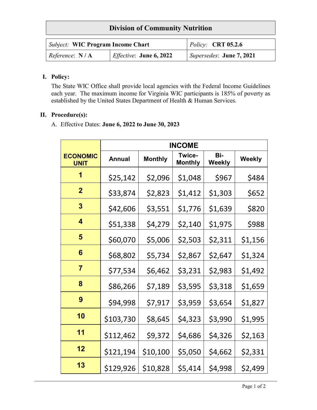## **Division of Community Nutrition**

| <i>Subject:</i> WIC Program Income Chart |                                 | $\vert$ Policy: <b>CRT</b> 05.2.6 |  |
|------------------------------------------|---------------------------------|-----------------------------------|--|
| Reference: $N/A$                         | <i>Effective</i> : June 6, 2022 | Supersedes: June 7, 2021          |  |

## **I. Policy:**

The State WIC Office shall provide local agencies with the Federal Income Guidelines each year. The maximum income for Virginia WIC participants is 185% of poverty as established by the United States Department of Health & Human Services.

## **II. Procedure(s):**

A. Effective Dates: **June 6, 2022 to June 30, 2023**

|                                | <b>INCOME</b> |                |                                 |                      |               |
|--------------------------------|---------------|----------------|---------------------------------|----------------------|---------------|
| <b>ECONOMIC</b><br><b>UNIT</b> | <b>Annual</b> | <b>Monthly</b> | <b>Twice-</b><br><b>Monthly</b> | Bi-<br><b>Weekly</b> | <b>Weekly</b> |
| 1                              | \$25,142      | \$2,096        | \$1,048                         | \$967                | \$484         |
| $\overline{2}$                 | \$33,874      | \$2,823        | \$1,412                         | \$1,303              | \$652         |
| 3                              | \$42,606      | \$3,551        | \$1,776                         | \$1,639              | \$820         |
| $\overline{\mathbf{4}}$        | \$51,338      | \$4,279        | \$2,140                         | \$1,975              | \$988         |
| 5                              | \$60,070      | \$5,006        | \$2,503                         | \$2,311              | \$1,156       |
| 6                              | \$68,802      | \$5,734        | \$2,867                         | \$2,647              | \$1,324       |
| $\overline{7}$                 | \$77,534      | \$6,462        | \$3,231                         | \$2,983              | \$1,492       |
| 8                              | \$86,266      | \$7,189        | \$3,595                         | \$3,318              | \$1,659       |
| 9                              | \$94,998      | \$7,917        | \$3,959                         | \$3,654              | \$1,827       |
| 10                             | \$103,730     | \$8,645        | \$4,323                         | \$3,990              | \$1,995       |
| 11                             | \$112,462     | \$9,372        | \$4,686                         | \$4,326              | \$2,163       |
| 12                             | \$121,194     | \$10,100       | \$5,050                         | \$4,662              | \$2,331       |
| 13                             | \$129,926     | \$10,828       | \$5,414                         | \$4,998              | \$2,499       |